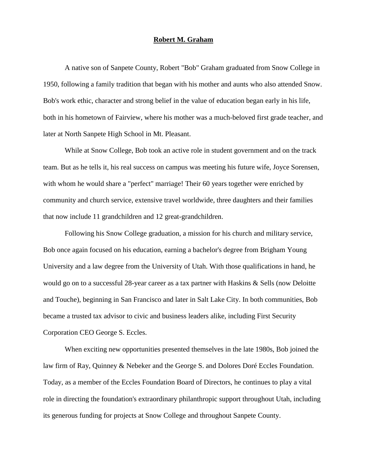## **Robert M. Graham**

A native son of Sanpete County, Robert "Bob" Graham graduated from Snow College in 1950, following a family tradition that began with his mother and aunts who also attended Snow. Bob's work ethic, character and strong belief in the value of education began early in his life, both in his hometown of Fairview, where his mother was a much-beloved first grade teacher, and later at North Sanpete High School in Mt. Pleasant.

While at Snow College, Bob took an active role in student government and on the track team. But as he tells it, his real success on campus was meeting his future wife, Joyce Sorensen, with whom he would share a "perfect" marriage! Their 60 years together were enriched by community and church service, extensive travel worldwide, three daughters and their families that now include 11 grandchildren and 12 great-grandchildren.

Following his Snow College graduation, a mission for his church and military service, Bob once again focused on his education, earning a bachelor's degree from Brigham Young University and a law degree from the University of Utah. With those qualifications in hand, he would go on to a successful 28-year career as a tax partner with Haskins & Sells (now Deloitte and Touche), beginning in San Francisco and later in Salt Lake City. In both communities, Bob became a trusted tax advisor to civic and business leaders alike, including First Security Corporation CEO George S. Eccles.

When exciting new opportunities presented themselves in the late 1980s, Bob joined the law firm of Ray, Quinney & Nebeker and the George S. and Dolores Doré Eccles Foundation. Today, as a member of the Eccles Foundation Board of Directors, he continues to play a vital role in directing the foundation's extraordinary philanthropic support throughout Utah, including its generous funding for projects at Snow College and throughout Sanpete County.